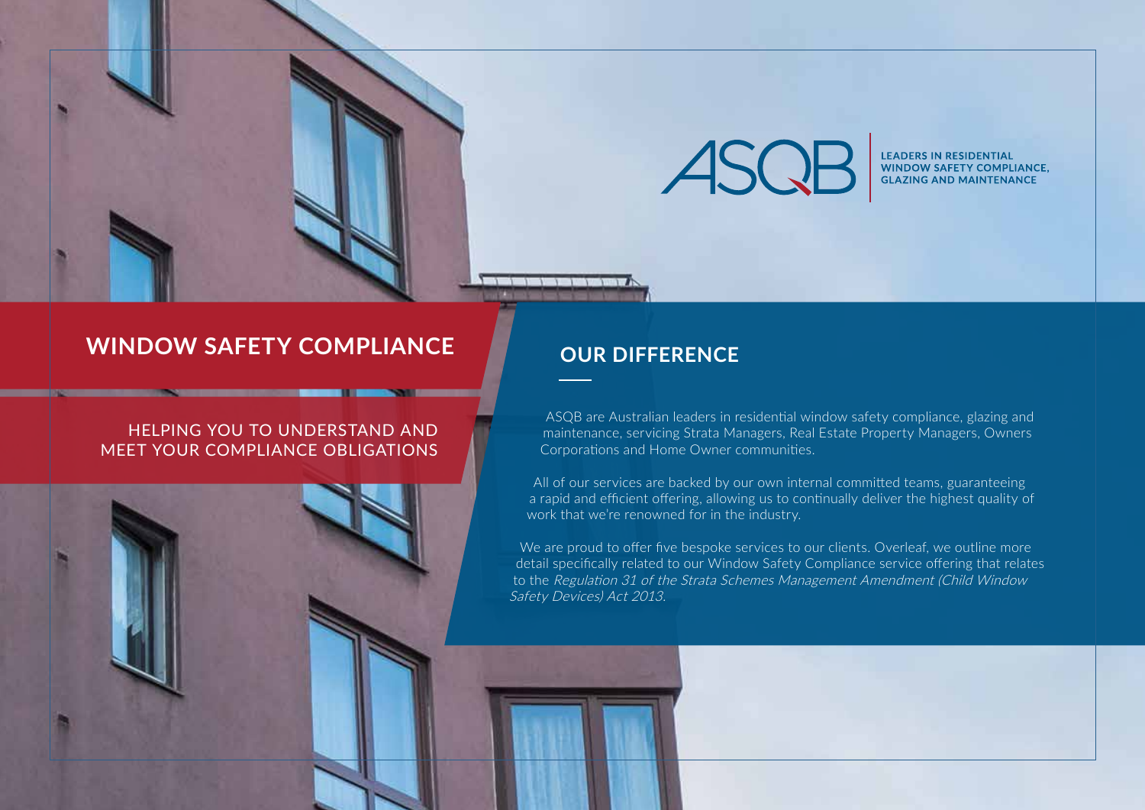

**LEADERS IN RESIDENTIAL WINDOW SAFETY COMPLIANCE. GLAZING AND MAINTENANCE** 

## **WINDOW SAFETY COMPLIANCE**

### HELPING YOU TO UNDERSTAND AND MEET YOUR COMPLIANCE OBLIGATIONS

### **OUR DIFFERENCE**

ASQB are Australian leaders in residential window safety compliance, glazing and maintenance, servicing Strata Managers, Real Estate Property Managers, Owners Corporations and Home Owner communities.

All of our services are backed by our own internal committed teams, guaranteeing a rapid and efficient offering, allowing us to continually deliver the highest quality of work that we're renowned for in the industry.

We are proud to offer five bespoke services to our clients. Overleaf, we outline more detail specifically related to our Window Safety Compliance service offering that relates to the Regulation 31 of the Strata Schemes Management Amendment (Child Window Safety Devices) Act 2013.